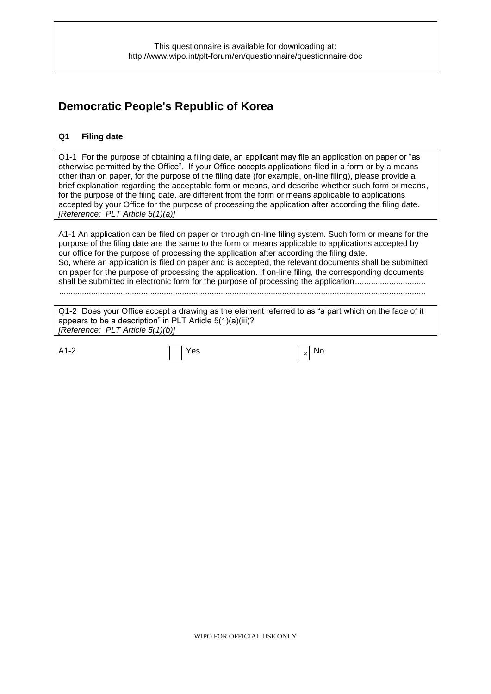# **Democratic People's Republic of Korea**

### **Q1 Filing date**

Q1-1 For the purpose of obtaining a filing date, an applicant may file an application on paper or "as otherwise permitted by the Office". If your Office accepts applications filed in a form or by a means other than on paper, for the purpose of the filing date (for example, on-line filing), please provide a brief explanation regarding the acceptable form or means, and describe whether such form or means, for the purpose of the filing date, are different from the form or means applicable to applications accepted by your Office for the purpose of processing the application after according the filing date. *[Reference: PLT Article 5(1)(a)]*

A1-1 An application can be filed on paper or through on-line filing system. Such form or means for the purpose of the filing date are the same to the form or means applicable to applications accepted by our office for the purpose of processing the application after according the filing date. So, where an application is filed on paper and is accepted, the relevant documents shall be submitted on paper for the purpose of processing the application. If on-line filing, the corresponding documents shall be submitted in electronic form for the purpose of processing the application...........................

.................................................................................................................................................................

Q1-2 Does your Office accept a drawing as the element referred to as "a part which on the face of it appears to be a description" in PLT Article 5(1)(a)(iii)? *[Reference: PLT Article 5(1)(b)]*

A1-2  $\vert$  Yes  $\vert$   $\times$  No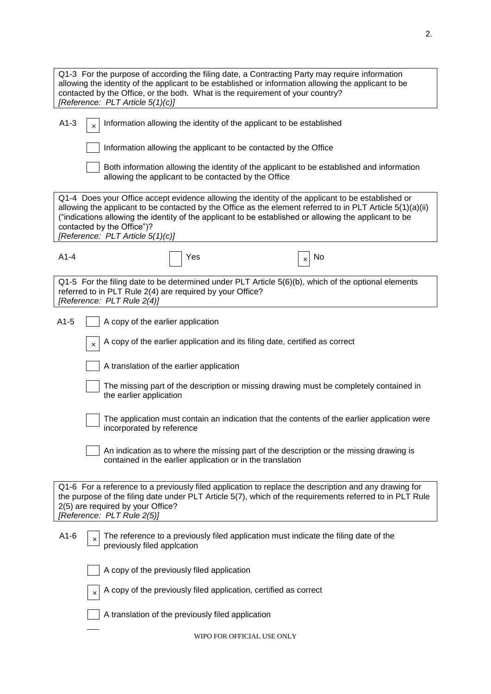| Q1-3 For the purpose of according the filing date, a Contracting Party may require information<br>allowing the identity of the applicant to be established or information allowing the applicant to be<br>contacted by the Office, or the both. What is the requirement of your country?<br>[Reference: PLT Article 5(1)(c)]                                                                |  |  |  |  |
|---------------------------------------------------------------------------------------------------------------------------------------------------------------------------------------------------------------------------------------------------------------------------------------------------------------------------------------------------------------------------------------------|--|--|--|--|
| $A1-3$<br>Information allowing the identity of the applicant to be established                                                                                                                                                                                                                                                                                                              |  |  |  |  |
| Information allowing the applicant to be contacted by the Office                                                                                                                                                                                                                                                                                                                            |  |  |  |  |
| Both information allowing the identity of the applicant to be established and information<br>allowing the applicant to be contacted by the Office                                                                                                                                                                                                                                           |  |  |  |  |
| Q1-4 Does your Office accept evidence allowing the identity of the applicant to be established or<br>allowing the applicant to be contacted by the Office as the element referred to in PLT Article 5(1)(a)(ii)<br>("indications allowing the identity of the applicant to be established or allowing the applicant to be<br>contacted by the Office")?<br>[Reference: PLT Article 5(1)(c)] |  |  |  |  |
| $A1-4$<br>Yes<br>No                                                                                                                                                                                                                                                                                                                                                                         |  |  |  |  |
| Q1-5 For the filing date to be determined under PLT Article 5(6)(b), which of the optional elements<br>referred to in PLT Rule 2(4) are required by your Office?<br>[Reference: PLT Rule 2(4)]                                                                                                                                                                                              |  |  |  |  |
| $A1-5$<br>A copy of the earlier application                                                                                                                                                                                                                                                                                                                                                 |  |  |  |  |
| A copy of the earlier application and its filing date, certified as correct<br>$\times$                                                                                                                                                                                                                                                                                                     |  |  |  |  |
| A translation of the earlier application                                                                                                                                                                                                                                                                                                                                                    |  |  |  |  |
| The missing part of the description or missing drawing must be completely contained in<br>the earlier application                                                                                                                                                                                                                                                                           |  |  |  |  |
| The application must contain an indication that the contents of the earlier application were<br>incorporated by reference                                                                                                                                                                                                                                                                   |  |  |  |  |
| An indication as to where the missing part of the description or the missing drawing is<br>contained in the earlier application or in the translation                                                                                                                                                                                                                                       |  |  |  |  |
| Q1-6 For a reference to a previously filed application to replace the description and any drawing for<br>the purpose of the filing date under PLT Article 5(7), which of the requirements referred to in PLT Rule<br>2(5) are required by your Office?<br>[Reference: PLT Rule 2(5)]                                                                                                        |  |  |  |  |
| The reference to a previously filed application must indicate the filing date of the<br>$A1-6$<br>×<br>previously filed applcation                                                                                                                                                                                                                                                          |  |  |  |  |
| A copy of the previously filed application                                                                                                                                                                                                                                                                                                                                                  |  |  |  |  |
| A copy of the previously filed application, certified as correct<br>×                                                                                                                                                                                                                                                                                                                       |  |  |  |  |
| A translation of the previously filed application                                                                                                                                                                                                                                                                                                                                           |  |  |  |  |
| WIPO FOR OFFICIAL USE ONLY                                                                                                                                                                                                                                                                                                                                                                  |  |  |  |  |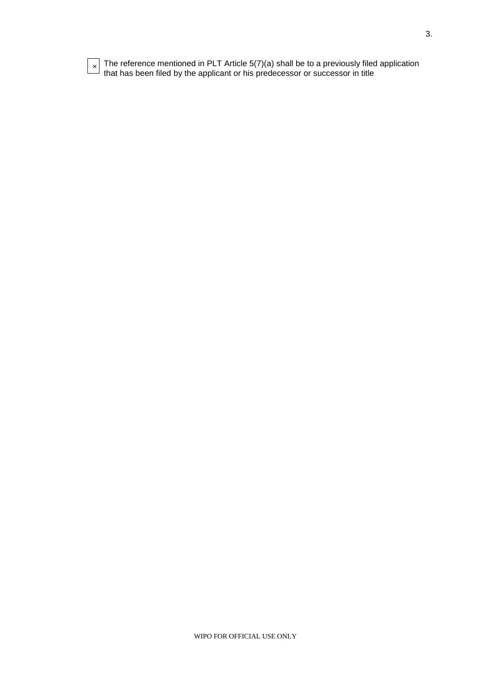| e<br>×<br>× |
|-------------|
|             |

 $\times$  The reference mentioned in PLT Article 5(7)(a) shall be to a previously filed application that has been filed by the applicant or his predecessor or successor in title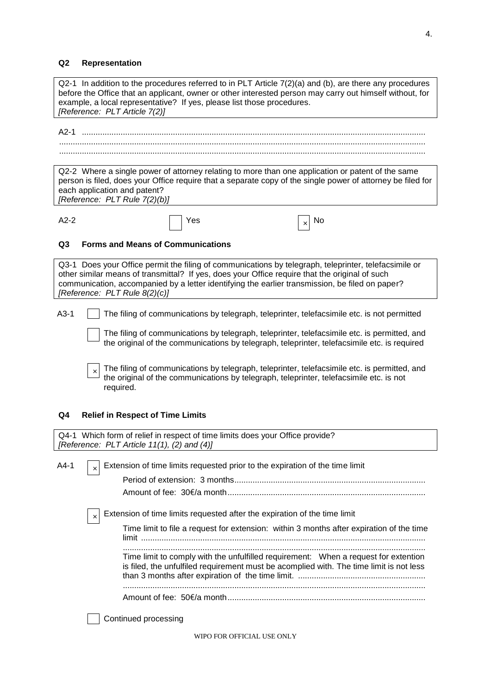# **Q2 Representation**

| Q2-1 In addition to the procedures referred to in PLT Article 7(2)(a) and (b), are there any procedures<br>before the Office that an applicant, owner or other interested person may carry out himself without, for<br>example, a local representative? If yes, please list those procedures.<br>[Reference: PLT Article 7(2)]              |  |  |  |  |  |  |
|---------------------------------------------------------------------------------------------------------------------------------------------------------------------------------------------------------------------------------------------------------------------------------------------------------------------------------------------|--|--|--|--|--|--|
|                                                                                                                                                                                                                                                                                                                                             |  |  |  |  |  |  |
| Q2-2 Where a single power of attorney relating to more than one application or patent of the same<br>person is filed, does your Office require that a separate copy of the single power of attorney be filed for<br>each application and patent?<br>[Reference: PLT Rule 7(2)(b)]                                                           |  |  |  |  |  |  |
| $A2-2$<br>Yes<br>No<br>×                                                                                                                                                                                                                                                                                                                    |  |  |  |  |  |  |
| Q <sub>3</sub><br><b>Forms and Means of Communications</b>                                                                                                                                                                                                                                                                                  |  |  |  |  |  |  |
| Q3-1 Does your Office permit the filing of communications by telegraph, teleprinter, telefacsimile or<br>other similar means of transmittal? If yes, does your Office require that the original of such<br>communication, accompanied by a letter identifying the earlier transmission, be filed on paper?<br>[Reference: PLT Rule 8(2)(c)] |  |  |  |  |  |  |
| $A3-1$<br>The filing of communications by telegraph, teleprinter, telefacsimile etc. is not permitted                                                                                                                                                                                                                                       |  |  |  |  |  |  |
| The filing of communications by telegraph, teleprinter, telefacsimile etc. is permitted, and<br>the original of the communications by telegraph, teleprinter, telefacsimile etc. is required                                                                                                                                                |  |  |  |  |  |  |
| The filing of communications by telegraph, teleprinter, telefacsimile etc. is permitted, and<br>$\times$<br>the original of the communications by telegraph, teleprinter, telefacsimile etc. is not<br>required.                                                                                                                            |  |  |  |  |  |  |
| <b>Relief in Respect of Time Limits</b><br>Q4                                                                                                                                                                                                                                                                                               |  |  |  |  |  |  |
| Q4-1 Which form of relief in respect of time limits does your Office provide?<br>[Reference: PLT Article 11(1), (2) and (4)]                                                                                                                                                                                                                |  |  |  |  |  |  |
| $A4-1$<br>Extension of time limits requested prior to the expiration of the time limit<br>$\pmb{\times}$                                                                                                                                                                                                                                    |  |  |  |  |  |  |
|                                                                                                                                                                                                                                                                                                                                             |  |  |  |  |  |  |
|                                                                                                                                                                                                                                                                                                                                             |  |  |  |  |  |  |
| Extension of time limits requested after the expiration of the time limit<br>$\times$                                                                                                                                                                                                                                                       |  |  |  |  |  |  |
| Time limit to file a request for extension: within 3 months after expiration of the time                                                                                                                                                                                                                                                    |  |  |  |  |  |  |
| Time limit to comply with the unfulfilled requirement: When a request for extention<br>is filed, the unfulfiled requirement must be acomplied with. The time limit is not less                                                                                                                                                              |  |  |  |  |  |  |
|                                                                                                                                                                                                                                                                                                                                             |  |  |  |  |  |  |
| Continued processing                                                                                                                                                                                                                                                                                                                        |  |  |  |  |  |  |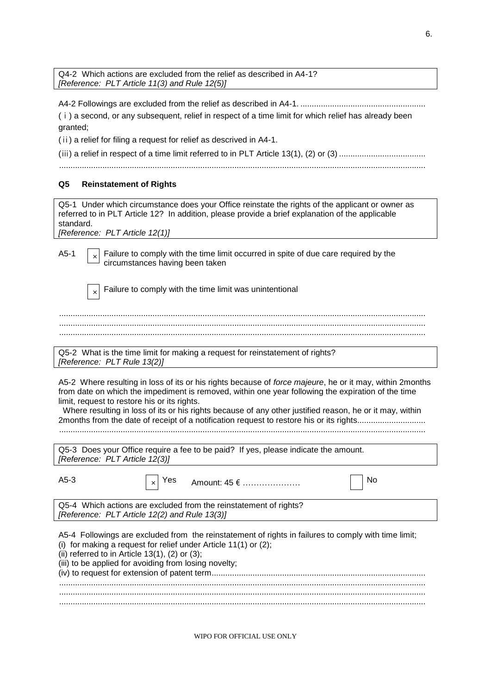Q4-2 Which actions are excluded from the relief as described in A4-1? *[Reference: PLT Article 11(3) and Rule 12(5)]*

A4-2 Followings are excluded from the relief as described in A4-1. .......................................................

(ⅰ) a second, or any subsequent, relief in respect of a time limit for which relief has already been granted;

(ⅱ) a relief for filing a request for relief as descrived in A4-1.

(iii) a relief in respect of a time limit referred to in PLT Article 13(1), (2) or (3)  $\ldots$  $\ldots$  $\ldots$  $\ldots$  $\ldots$  $\ldots$  $\ldots$ 

.................................................................................................................................................................

#### **Q5 Reinstatement of Rights**

Q5-1 Under which circumstance does your Office reinstate the rights of the applicant or owner as referred to in PLT Article 12? In addition, please provide a brief explanation of the applicable standard.

*[Reference: PLT Article 12(1)]*

A5-1  $\lceil \cdot \rceil$  Failure to comply with the time limit occurred in spite of due care required by the circumstances having been taken

Failure to comply with the time limit was unintentional

................................................................................................................................................................. ................................................................................................................................................................. .................................................................................................................................................................

Q5-2 What is the time limit for making a request for reinstatement of rights? *[Reference: PLT Rule 13(2)]*

A5-2 Where resulting in loss of its or his rights because of *force majeure*, he or it may, within 2months from date on which the impediment is removed, within one year following the expiration of the time limit, request to restore his or its rights.

 Where resulting in loss of its or his rights because of any other justified reason, he or it may, within 2months from the date of receipt of a notification request to restore his or its rights..............................

.................................................................................................................................................................

| Q5-3 Does your Office require a fee to be paid? If yes, please indicate the amount. |  |
|-------------------------------------------------------------------------------------|--|
| [Reference: PLT Article 12(3)]                                                      |  |

| $A5-3$                                                                                                                                                                                                                                  | $\vert x \vert$ Yes Amount: 45 $\epsilon$ | No                                                                                                   |
|-----------------------------------------------------------------------------------------------------------------------------------------------------------------------------------------------------------------------------------------|-------------------------------------------|------------------------------------------------------------------------------------------------------|
| Q5-4 Which actions are excluded from the reinstatement of rights?                                                                                                                                                                       |                                           |                                                                                                      |
| [Reference: PLT Article 12(2) and Rule 13(3)]                                                                                                                                                                                           |                                           |                                                                                                      |
| (i) for making a request for relief under Article $11(1)$ or $(2)$ ;<br>(ii) referred to in Article $13(1)$ , $(2)$ or $(3)$ ;<br>(iii) to be applied for avoiding from losing novelty;<br>(iv) to request for extension of patent term |                                           | A5-4 Followings are excluded from the reinstatement of rights in failures to comply with time limit; |

(iv) to request for extension of patent term.............................................................................................. .................................................................................................................................................................

................................................................................................................................................................. .................................................................................................................................................................

WIPO FOR OFFICIAL USE ONLY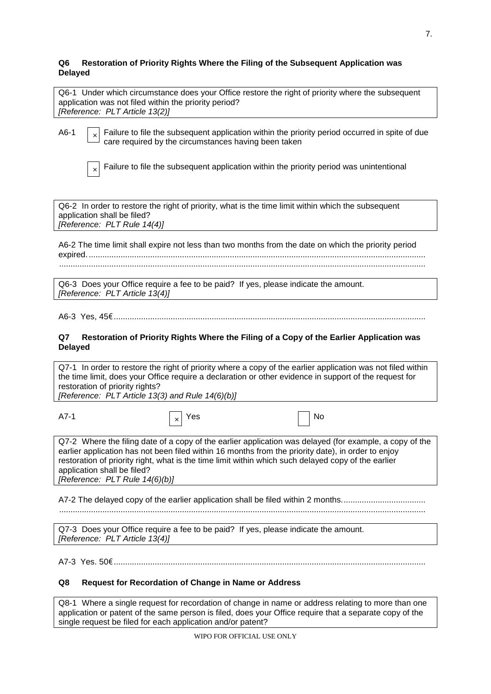#### **Q6 Restoration of Priority Rights Where the Filing of the Subsequent Application was Delayed**

| Q6-1 Under which circumstance does your Office restore the right of priority where the subsequent |  |
|---------------------------------------------------------------------------------------------------|--|
| application was not filed within the priority period?                                             |  |
| [Reference: PLT Article 13(2)]                                                                    |  |

A6-1  $\Box$  Failure to file the subsequent application within the priority period occurred in spite of due care required by the circumstances having been taken

Failure to file the subsequent application within the priority period was unintentional

Q6-2 In order to restore the right of priority, what is the time limit within which the subsequent application shall be filed? *[Reference: PLT Rule 14(4)]*

A6-2 The time limit shall expire not less than two months from the date on which the priority period expired..................................................................................................................................................... .................................................................................................................................................................

Q6-3 Does your Office require a fee to be paid? If yes, please indicate the amount. *[Reference: PLT Article 13(4)]*

A6-3 Yes, 45€.........................................................................................................................................

#### **Q7 Restoration of Priority Rights Where the Filing of a Copy of the Earlier Application was Delayed**

Q7-1 In order to restore the right of priority where a copy of the earlier application was not filed within the time limit, does your Office require a declaration or other evidence in support of the request for restoration of priority rights?

*[Reference: PLT Article 13(3) and Rule 14(6)(b)]*

| ۰, |
|----|
|    |

A7-1  $\vert x \vert$  Yes  $\vert$  No

Q7-2 Where the filing date of a copy of the earlier application was delayed (for example, a copy of the earlier application has not been filed within 16 months from the priority date), in order to enjoy restoration of priority right, what is the time limit within which such delayed copy of the earlier application shall be filed? *[Reference: PLT Rule 14(6)(b)]*

A7-2 The delayed copy of the earlier application shall be filed within 2 months..................................

.................................................................................................................................................................

Q7-3 Does your Office require a fee to be paid? If yes, please indicate the amount. *[Reference: PLT Article 13(4)]*

A7-3 Yes. 50€.........................................................................................................................................

## **Q8 Request for Recordation of Change in Name or Address**

Q8-1 Where a single request for recordation of change in name or address relating to more than one application or patent of the same person is filed, does your Office require that a separate copy of the single request be filed for each application and/or patent?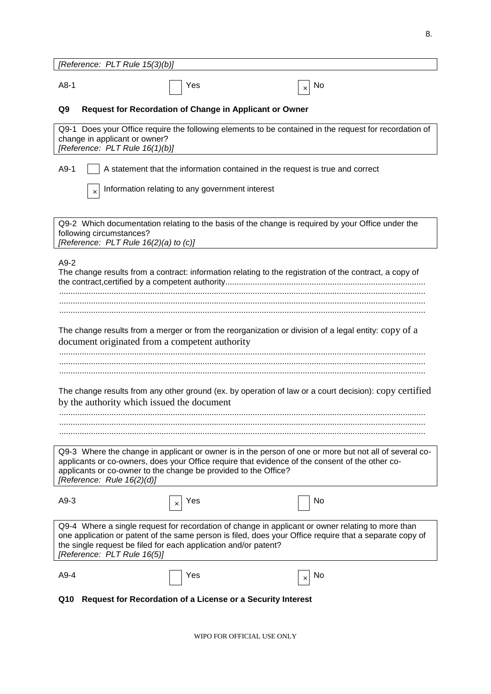| [Reference: PLT Rule 15(3)(b)]                                                                                                                                                                                                                                                                                 |  |  |  |  |  |  |
|----------------------------------------------------------------------------------------------------------------------------------------------------------------------------------------------------------------------------------------------------------------------------------------------------------------|--|--|--|--|--|--|
| $A8-1$<br>Yes<br>No.<br>×                                                                                                                                                                                                                                                                                      |  |  |  |  |  |  |
| Q9<br><b>Request for Recordation of Change in Applicant or Owner</b>                                                                                                                                                                                                                                           |  |  |  |  |  |  |
| Q9-1 Does your Office require the following elements to be contained in the request for recordation of<br>change in applicant or owner?<br>[Reference: PLT Rule 16(1)(b)]                                                                                                                                      |  |  |  |  |  |  |
| $A9-1$<br>A statement that the information contained in the request is true and correct                                                                                                                                                                                                                        |  |  |  |  |  |  |
| Information relating to any government interest<br>$\times$                                                                                                                                                                                                                                                    |  |  |  |  |  |  |
| Q9-2 Which documentation relating to the basis of the change is required by your Office under the<br>following circumstances?<br>[Reference: PLT Rule 16(2)(a) to (c)]                                                                                                                                         |  |  |  |  |  |  |
| $A9-2$<br>The change results from a contract: information relating to the registration of the contract, a copy of                                                                                                                                                                                              |  |  |  |  |  |  |
|                                                                                                                                                                                                                                                                                                                |  |  |  |  |  |  |
| The change results from a merger or from the reorganization or division of a legal entity: copy of a<br>document originated from a competent authority                                                                                                                                                         |  |  |  |  |  |  |
| The change results from any other ground (ex. by operation of law or a court decision): copy certified<br>by the authority which issued the document                                                                                                                                                           |  |  |  |  |  |  |
|                                                                                                                                                                                                                                                                                                                |  |  |  |  |  |  |
|                                                                                                                                                                                                                                                                                                                |  |  |  |  |  |  |
| Q9-3 Where the change in applicant or owner is in the person of one or more but not all of several co-<br>applicants or co-owners, does your Office require that evidence of the consent of the other co-<br>applicants or co-owner to the change be provided to the Office?<br>[Reference: Rule 16(2)(d)]     |  |  |  |  |  |  |
| $A9-3$<br>No<br>Yes<br>×                                                                                                                                                                                                                                                                                       |  |  |  |  |  |  |
| Q9-4 Where a single request for recordation of change in applicant or owner relating to more than<br>one application or patent of the same person is filed, does your Office require that a separate copy of<br>the single request be filed for each application and/or patent?<br>[Reference: PLT Rule 16(5)] |  |  |  |  |  |  |
| A9-4<br>Yes<br>No<br>×                                                                                                                                                                                                                                                                                         |  |  |  |  |  |  |
| Request for Recordation of a License or a Security Interest<br>Q10                                                                                                                                                                                                                                             |  |  |  |  |  |  |

WIPO FOR OFFICIAL USE ONLY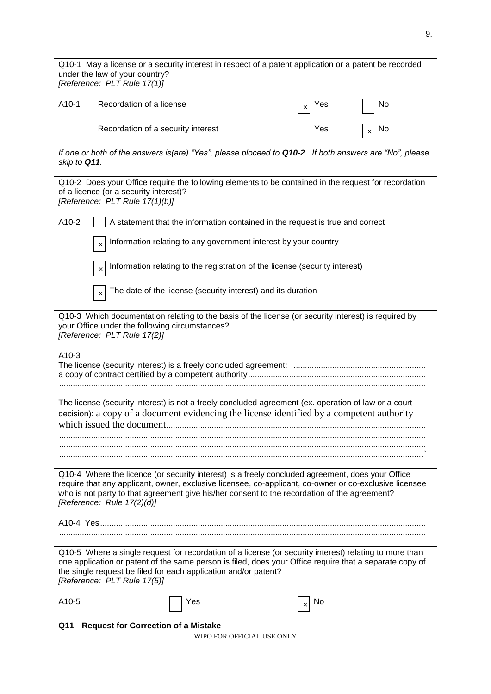Q10-1 May a license or a security interest in respect of a patent application or a patent be recorded under the law of your country? *[Reference: PLT Rule 17(1)]*

| A10-1 | Recordation of a license           | $\vert x \vert$ Yes | No             |
|-------|------------------------------------|---------------------|----------------|
|       | Recordation of a security interest | $ $ Yes             | $_{\times}$ No |

*If one or both of the answers is(are) "Yes", please ploceed to Q10-2. If both answers are "No", please skip to Q11.*

| Q10-2 Does your Office require the following elements to be contained in the request for recordation<br>of a licence (or a security interest)?<br>[Reference: PLT Rule 17(1)(b)]                                                                                                                                                         |  |  |  |  |  |
|------------------------------------------------------------------------------------------------------------------------------------------------------------------------------------------------------------------------------------------------------------------------------------------------------------------------------------------|--|--|--|--|--|
| A10-2<br>A statement that the information contained in the request is true and correct                                                                                                                                                                                                                                                   |  |  |  |  |  |
| Information relating to any government interest by your country<br>$\times$                                                                                                                                                                                                                                                              |  |  |  |  |  |
| Information relating to the registration of the license (security interest)<br>×                                                                                                                                                                                                                                                         |  |  |  |  |  |
| The date of the license (security interest) and its duration<br>$\times$                                                                                                                                                                                                                                                                 |  |  |  |  |  |
| Q10-3 Which documentation relating to the basis of the license (or security interest) is required by<br>your Office under the following circumstances?<br>[Reference: PLT Rule 17(2)]                                                                                                                                                    |  |  |  |  |  |
| $A10-3$                                                                                                                                                                                                                                                                                                                                  |  |  |  |  |  |
| The license (security interest) is not a freely concluded agreement (ex. operation of law or a court<br>decision): a copy of a document evidencing the license identified by a competent authority                                                                                                                                       |  |  |  |  |  |
| Q10-4 Where the licence (or security interest) is a freely concluded agreement, does your Office<br>require that any applicant, owner, exclusive licensee, co-applicant, co-owner or co-exclusive licensee<br>who is not party to that agreement give his/her consent to the recordation of the agreement?<br>[Reference: Rule 17(2)(d)] |  |  |  |  |  |
|                                                                                                                                                                                                                                                                                                                                          |  |  |  |  |  |
| Q10-5 Where a single request for recordation of a license (or security interest) relating to more than<br>one application or patent of the same person is filed, does your Office require that a separate copy of<br>the single request be filed for each application and/or patent?<br>[Reference: PLT Rule 17(5)]                      |  |  |  |  |  |
| A10-5<br>Yes<br>No<br>×                                                                                                                                                                                                                                                                                                                  |  |  |  |  |  |
| <b>Request for Correction of a Mistake</b><br>Q11                                                                                                                                                                                                                                                                                        |  |  |  |  |  |